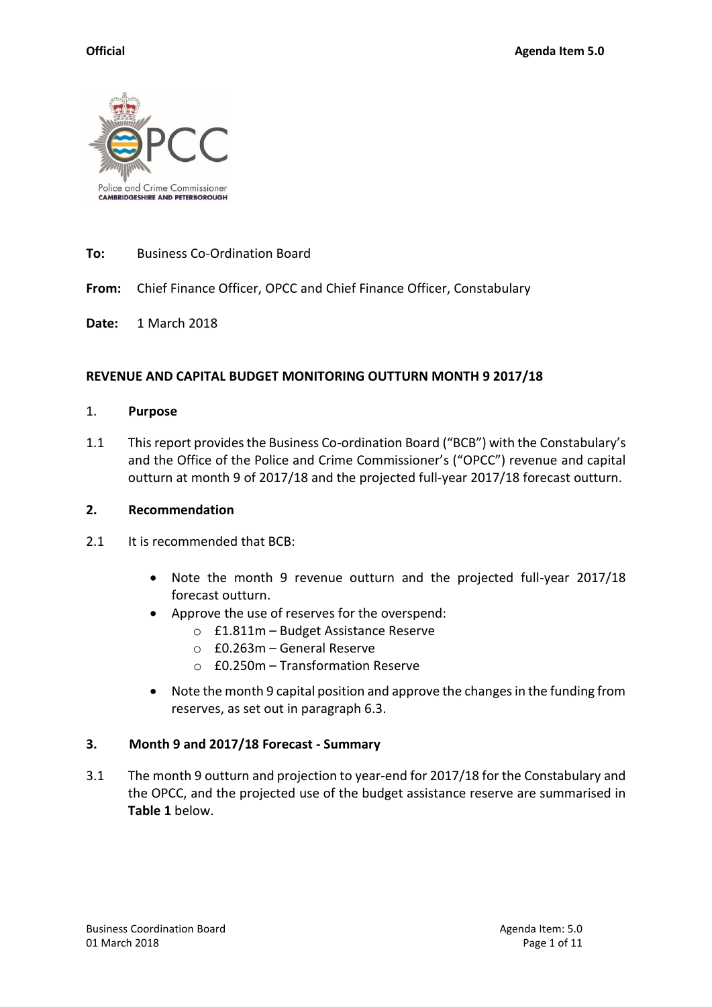

# **To:** Business Co-Ordination Board

**From:** Chief Finance Officer, OPCC and Chief Finance Officer, Constabulary

**Date:** 1 March 2018

#### **REVENUE AND CAPITAL BUDGET MONITORING OUTTURN MONTH 9 2017/18**

#### 1. **Purpose**

1.1 This report provides the Business Co-ordination Board ("BCB") with the Constabulary's and the Office of the Police and Crime Commissioner's ("OPCC") revenue and capital outturn at month 9 of 2017/18 and the projected full-year 2017/18 forecast outturn.

#### **2. Recommendation**

- 2.1 It is recommended that BCB:
	- Note the month 9 revenue outturn and the projected full-year 2017/18 forecast outturn.
	- Approve the use of reserves for the overspend:
		- o £1.811m Budget Assistance Reserve
		- o £0.263m General Reserve
		- $\circ$  £0.250m Transformation Reserve
	- Note the month 9 capital position and approve the changes in the funding from reserves, as set out in paragraph 6.3.

#### **3. Month 9 and 2017/18 Forecast - Summary**

3.1 The month 9 outturn and projection to year-end for 2017/18 for the Constabulary and the OPCC, and the projected use of the budget assistance reserve are summarised in **Table 1** below.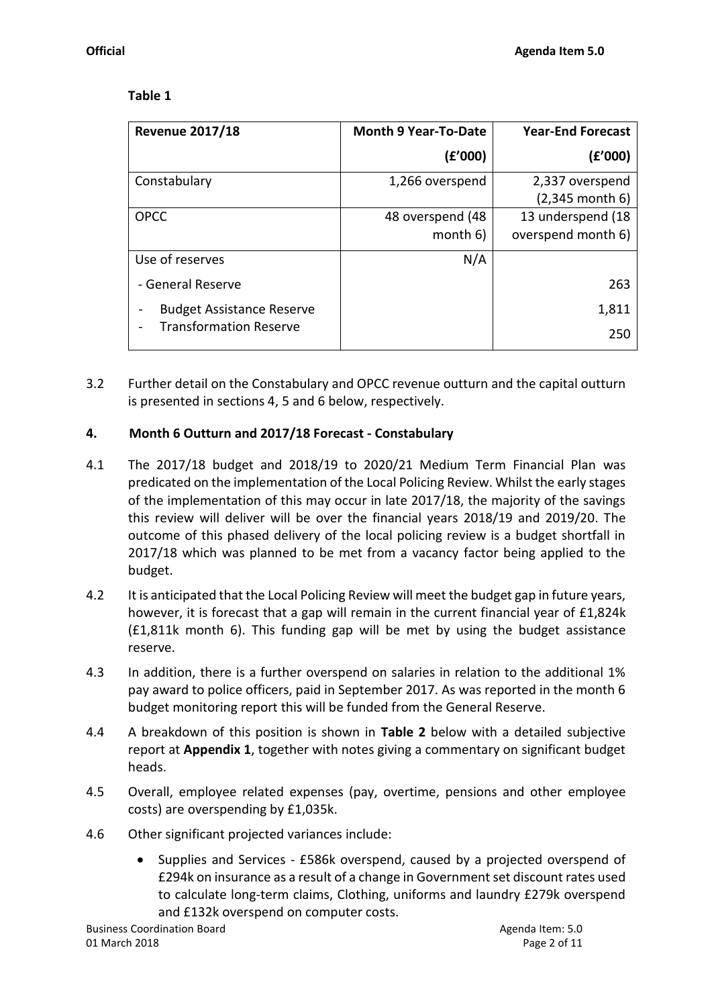# **Table 1**

| <b>Revenue 2017/18</b>           | <b>Month 9 Year-To-Date</b> | <b>Year-End Forecast</b> |  |  |  |
|----------------------------------|-----------------------------|--------------------------|--|--|--|
|                                  | (£'000)                     | (f'000)                  |  |  |  |
| Constabulary                     | 1,266 overspend             | 2,337 overspend          |  |  |  |
|                                  |                             | $(2,345$ month 6)        |  |  |  |
| <b>OPCC</b>                      | 48 overspend (48            | 13 underspend (18        |  |  |  |
|                                  | month 6)                    | overspend month 6)       |  |  |  |
| Use of reserves                  | N/A                         |                          |  |  |  |
| - General Reserve                |                             | 263                      |  |  |  |
| <b>Budget Assistance Reserve</b> |                             | 1,811                    |  |  |  |
| <b>Transformation Reserve</b>    |                             | 250                      |  |  |  |

3.2 Further detail on the Constabulary and OPCC revenue outturn and the capital outturn is presented in sections 4, 5 and 6 below, respectively.

# **4. Month 6 Outturn and 2017/18 Forecast - Constabulary**

- 4.1 The 2017/18 budget and 2018/19 to 2020/21 Medium Term Financial Plan was predicated on the implementation of the Local Policing Review. Whilst the early stages of the implementation of this may occur in late 2017/18, the majority of the savings this review will deliver will be over the financial years 2018/19 and 2019/20. The outcome of this phased delivery of the local policing review is a budget shortfall in 2017/18 which was planned to be met from a vacancy factor being applied to the budget.
- 4.2 It is anticipated that the Local Policing Review will meet the budget gap in future years, however, it is forecast that a gap will remain in the current financial year of £1,824k (£1,811k month 6). This funding gap will be met by using the budget assistance reserve.
- 4.3 In addition, there is a further overspend on salaries in relation to the additional 1% pay award to police officers, paid in September 2017. As was reported in the month 6 budget monitoring report this will be funded from the General Reserve.
- 4.4 A breakdown of this position is shown in **Table 2** below with a detailed subjective report at **Appendix 1**, together with notes giving a commentary on significant budget heads.
- 4.5 Overall, employee related expenses (pay, overtime, pensions and other employee costs) are overspending by £1,035k.
- 4.6 Other significant projected variances include:
	- Supplies and Services £586k overspend, caused by a projected overspend of £294k on insurance as a result of a change in Government set discount rates used to calculate long-term claims, Clothing, uniforms and laundry £279k overspend and £132k overspend on computer costs.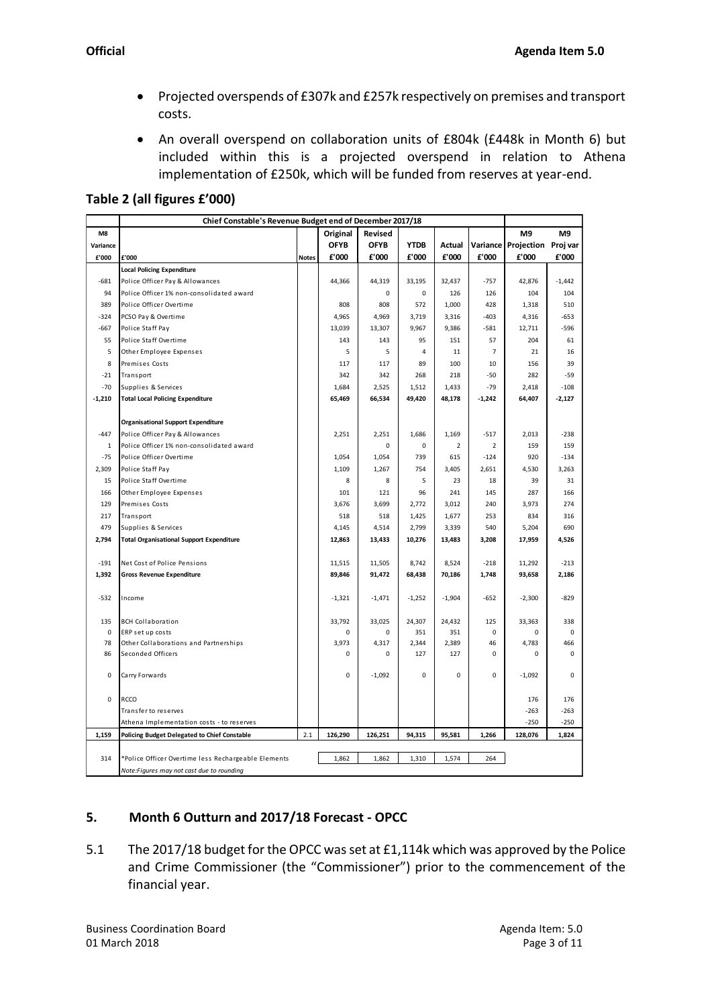- Projected overspends of £307k and £257k respectively on premises and transport costs.
- An overall overspend on collaboration units of £804k (£448k in Month 6) but included within this is a projected overspend in relation to Athena implementation of £250k, which will be funded from reserves at year-end.

**Table 2 (all figures £'000)**

|                | Chief Constable's Revenue Budget end of December 2017/18 |              |             |             |             |          |          |                |                |
|----------------|----------------------------------------------------------|--------------|-------------|-------------|-------------|----------|----------|----------------|----------------|
| M <sub>8</sub> |                                                          |              | Original    | Revised     |             |          |          | M <sub>9</sub> | M <sub>9</sub> |
| Variance       |                                                          |              | <b>OFYB</b> | <b>OFYB</b> | <b>YTDB</b> | Actual   | Variance | Projection     | Proj var       |
| £'000          | £'000                                                    | <b>Notes</b> | £'000       | £'000       | £'000       | £'000    | £'000    | £'000          | £'000          |
|                | <b>Local Policing Expenditure</b>                        |              |             |             |             |          |          |                |                |
| $-681$         | Police Officer Pay & Allowances                          |              | 44,366      | 44,319      | 33,195      | 32,437   | $-757$   | 42,876         | $-1,442$       |
| 94             | Police Officer 1% non-consolidated award                 |              |             | 0           | 0           | 126      | 126      | 104            | 104            |
| 389            | Police Officer Overtime                                  |              | 808         | 808         | 572         | 1,000    | 428      | 1,318          | 510            |
| $-324$         | PCSO Pay & Overtime                                      |              | 4,965       | 4,969       | 3,719       | 3,316    | $-403$   | 4,316          | $-653$         |
| $-667$         | Police Staff Pay                                         |              | 13,039      | 13,307      | 9,967       | 9,386    | $-581$   | 12,711         | $-596$         |
| 55             | Police Staff Overtime                                    |              | 143         | 143         | 95          | 151      | 57       | 204            | 61             |
| 5              | Other Employee Expenses                                  |              | 5           | 5           | 4           | 11       | 7        | 21             | 16             |
| 8              | Premises Costs                                           |              | 117         | 117         | 89          | 100      | 10       | 156            | 39             |
| $-21$          | Transport                                                |              | 342         | 342         | 268         | 218      | $-50$    | 282            | $-59$          |
| $-70$          | Supplies & Services                                      |              | 1,684       | 2,525       | 1,512       | 1,433    | $-79$    | 2,418          | $-108$         |
| $-1,210$       | <b>Total Local Policing Expenditure</b>                  |              | 65,469      | 66,534      | 49,420      | 48,178   | $-1,242$ | 64,407         | $-2,127$       |
|                |                                                          |              |             |             |             |          |          |                |                |
|                | <b>Organisational Support Expenditure</b>                |              |             |             |             |          |          |                |                |
| $-447$         | Police Officer Pay & Allowances                          |              | 2,251       | 2,251       | 1,686       | 1,169    | $-517$   | 2,013          | $-238$         |
| 1              | Police Officer 1% non-consolidated award                 |              |             | 0           | 0           | 2        | 2        | 159            | 159            |
| $-75$          | Police Officer Overtime                                  |              | 1,054       | 1,054       | 739         | 615      | $-124$   | 920            | $-134$         |
| 2,309          | Police Staff Pay                                         |              | 1,109       | 1,267       | 754         | 3,405    | 2,651    | 4,530          | 3,263          |
| 15             | Police Staff Overtime                                    |              | 8           | 8           | 5           | 23       | 18       | 39             | 31             |
| 166            | Other Employee Expenses                                  |              | 101         | 121         | 96          | 241      | 145      | 287            | 166            |
| 129            | Premises Costs                                           |              | 3,676       | 3,699       | 2,772       | 3,012    | 240      | 3,973          | 274            |
| 217            | Transport                                                |              | 518         | 518         | 1,425       | 1,677    | 253      | 834            | 316            |
| 479            | Supplies & Services                                      |              | 4,145       | 4,514       | 2,799       | 3,339    | 540      | 5,204          | 690            |
| 2,794          | <b>Total Organisational Support Expenditure</b>          |              | 12,863      | 13,433      | 10,276      | 13,483   | 3,208    | 17,959         | 4,526          |
|                |                                                          |              |             |             |             |          |          |                |                |
| $-191$         | Net Cost of Police Pensions                              |              | 11,515      | 11,505      | 8,742       | 8,524    | $-218$   | 11,292         | $-213$         |
| 1,392          | <b>Gross Revenue Expenditure</b>                         |              | 89,846      | 91,472      | 68,438      | 70,186   | 1,748    | 93,658         | 2,186          |
|                |                                                          |              |             |             |             |          |          |                |                |
| $-532$         | Income                                                   |              | $-1,321$    | $-1,471$    | $-1,252$    | $-1,904$ | -652     | $-2,300$       | -829           |
|                |                                                          |              |             |             |             |          |          |                |                |
| 135            | <b>BCH Collaboration</b>                                 |              | 33,792      | 33.025      | 24,307      | 24,432   | 125      | 33,363         | 338            |
| $\mathbf 0$    | ERP set up costs                                         |              | 0           | 0           | 351         | 351      | 0        | 0              | 0              |
| 78             | Other Collaborations and Partnerships                    |              | 3,973       | 4,317       | 2,344       | 2,389    | 46       | 4,783          | 466            |
| 86             | Seconded Officers                                        |              | 0           | 0           | 127         | 127      | 0        | 0              | 0              |
|                |                                                          |              |             |             |             |          |          |                |                |
| 0              | Carry Forwards                                           |              | 0           | $-1,092$    | 0           | 0        | 0        | $-1,092$       | 0              |
|                |                                                          |              |             |             |             |          |          |                |                |
| 0              | RCCO                                                     |              |             |             |             |          |          | 176            | 176            |
|                | Transfer to reserves                                     |              |             |             |             |          |          | $-263$         | $-263$         |
|                | Athena Implementation costs - to reserves                |              |             |             |             |          |          | $-250$         | $-250$         |
| 1,159          | <b>Policing Budget Delegated to Chief Constable</b>      | 2.1          | 126,290     | 126,251     | 94,315      | 95,581   | 1,266    | 128,076        | 1,824          |
|                |                                                          |              |             |             |             |          |          |                |                |
| 314            | *Police Officer Overtime less Rechargeable Elements      |              | 1,862       | 1,862       | 1,310       | 1,574    | 264      |                |                |
|                | Note:Figures may not cast due to rounding                |              |             |             |             |          |          |                |                |

# **5. Month 6 Outturn and 2017/18 Forecast - OPCC**

5.1 The 2017/18 budget for the OPCC was set at £1,114k which was approved by the Police and Crime Commissioner (the "Commissioner") prior to the commencement of the financial year.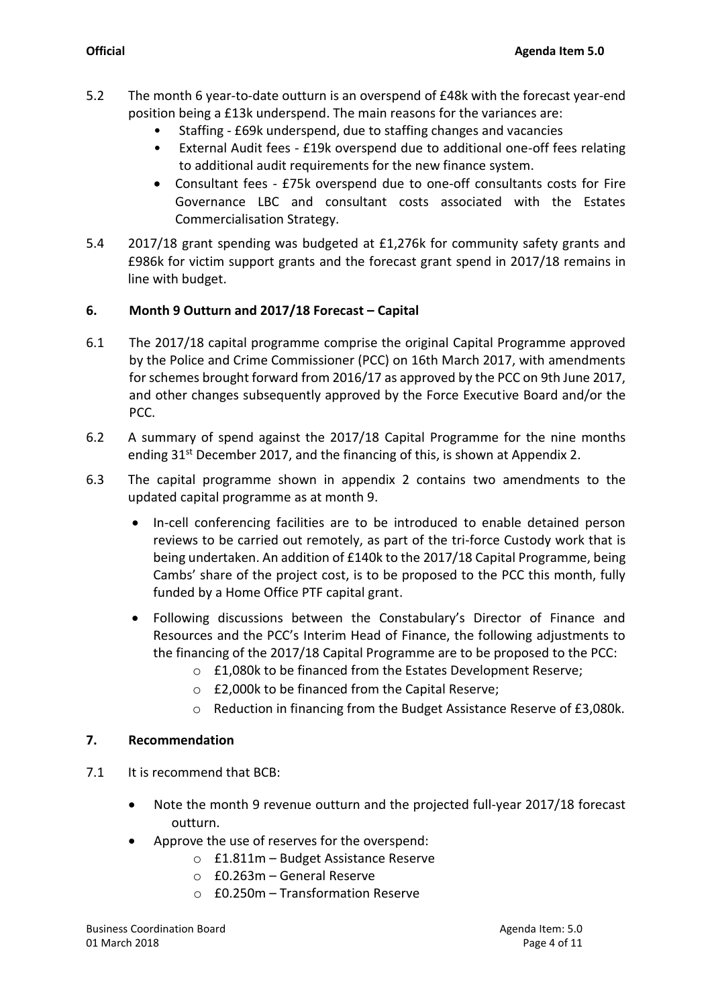- 5.2 The month 6 year-to-date outturn is an overspend of £48k with the forecast year-end position being a £13k underspend. The main reasons for the variances are:
	- Staffing £69k underspend, due to staffing changes and vacancies
	- External Audit fees £19k overspend due to additional one-off fees relating to additional audit requirements for the new finance system.
	- Consultant fees £75k overspend due to one-off consultants costs for Fire Governance LBC and consultant costs associated with the Estates Commercialisation Strategy.
- 5.4 2017/18 grant spending was budgeted at £1,276k for community safety grants and £986k for victim support grants and the forecast grant spend in 2017/18 remains in line with budget.

# **6. Month 9 Outturn and 2017/18 Forecast – Capital**

- 6.1 The 2017/18 capital programme comprise the original Capital Programme approved by the Police and Crime Commissioner (PCC) on 16th March 2017, with amendments for schemes brought forward from 2016/17 as approved by the PCC on 9th June 2017, and other changes subsequently approved by the Force Executive Board and/or the PCC.
- 6.2 A summary of spend against the 2017/18 Capital Programme for the nine months ending 31<sup>st</sup> December 2017, and the financing of this, is shown at Appendix 2.
- 6.3 The capital programme shown in appendix 2 contains two amendments to the updated capital programme as at month 9.
	- In-cell conferencing facilities are to be introduced to enable detained person reviews to be carried out remotely, as part of the tri-force Custody work that is being undertaken. An addition of £140k to the 2017/18 Capital Programme, being Cambs' share of the project cost, is to be proposed to the PCC this month, fully funded by a Home Office PTF capital grant.
	- Following discussions between the Constabulary's Director of Finance and Resources and the PCC's Interim Head of Finance, the following adjustments to the financing of the 2017/18 Capital Programme are to be proposed to the PCC:
		- o £1,080k to be financed from the Estates Development Reserve;
		- o £2,000k to be financed from the Capital Reserve;
		- o Reduction in financing from the Budget Assistance Reserve of £3,080k.

#### **7. Recommendation**

- 7.1 It is recommend that BCB:
	- Note the month 9 revenue outturn and the projected full-year 2017/18 forecast outturn.
	- Approve the use of reserves for the overspend:
		- o £1.811m Budget Assistance Reserve
		- o £0.263m General Reserve
		- $\circ$  £0.250m Transformation Reserve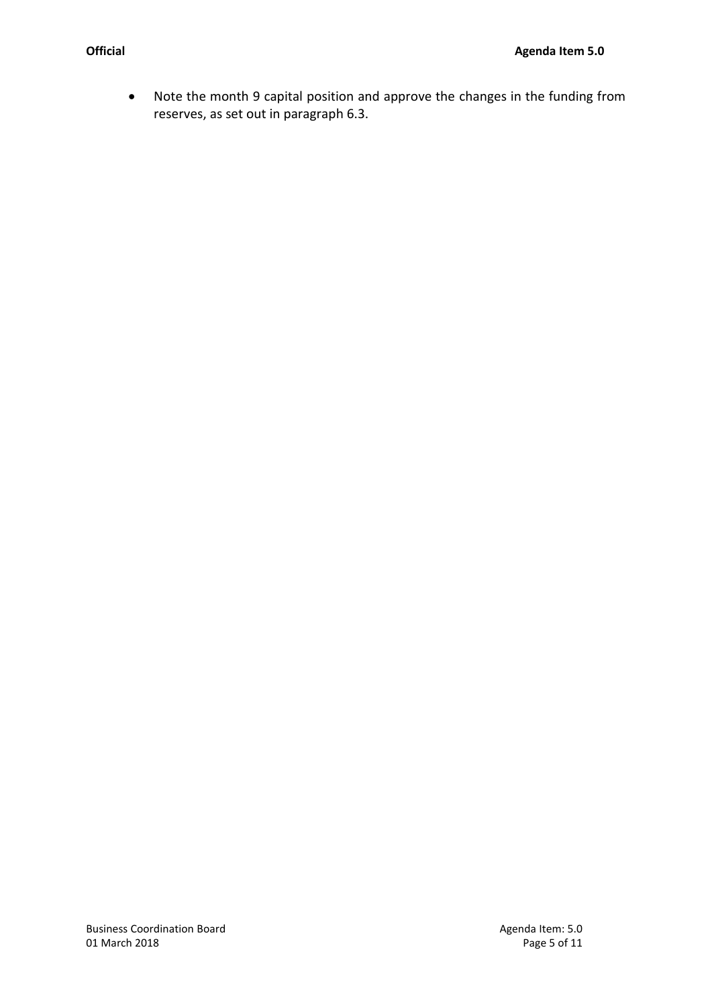Note the month 9 capital position and approve the changes in the funding from reserves, as set out in paragraph 6.3.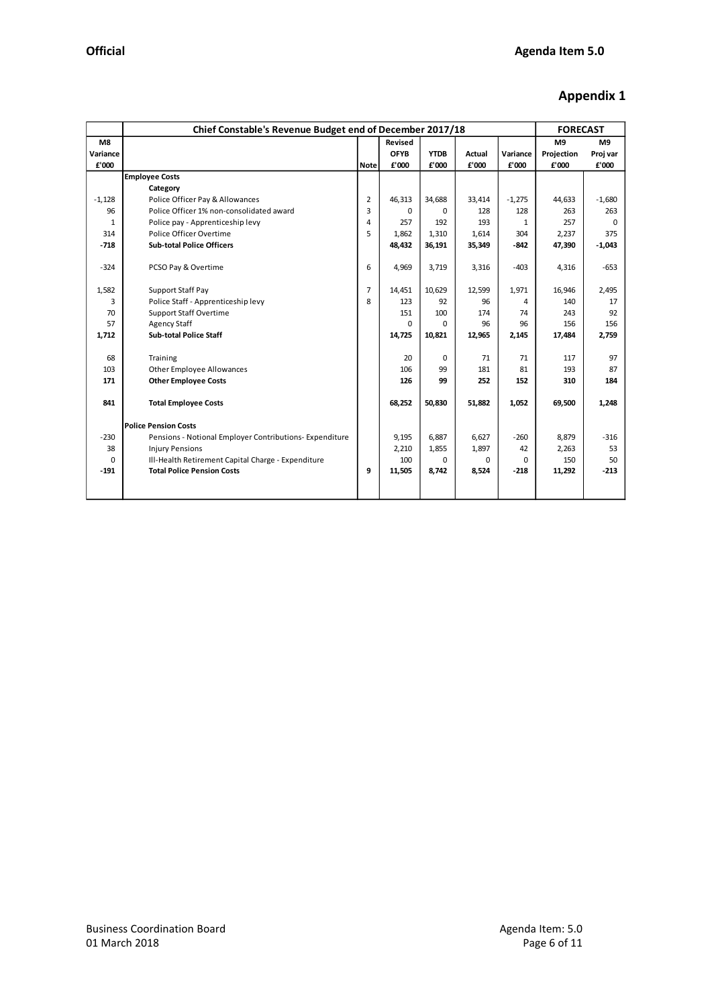# **Appendix 1**

|          | Chief Constable's Revenue Budget end of December 2017/18 | <b>FORECAST</b> |             |             |               |          |                |          |
|----------|----------------------------------------------------------|-----------------|-------------|-------------|---------------|----------|----------------|----------|
| M8       |                                                          |                 | Revised     |             |               |          | M <sub>9</sub> | M9       |
| Variance |                                                          |                 | <b>OFYB</b> | <b>YTDB</b> | <b>Actual</b> | Variance | Projection     | Proj var |
| £'000    |                                                          | <b>Note</b>     | £'000       | £'000       | £'000         | £'000    | £'000          | £'000    |
|          | <b>Employee Costs</b>                                    |                 |             |             |               |          |                |          |
|          | Category                                                 |                 |             |             |               |          |                |          |
| $-1,128$ | Police Officer Pay & Allowances                          | 2               | 46,313      | 34,688      | 33,414        | $-1,275$ | 44,633         | $-1,680$ |
| 96       | Police Officer 1% non-consolidated award                 | 3               | $\Omega$    | $\Omega$    | 128           | 128      | 263            | 263      |
| 1        | Police pay - Apprenticeship levy                         | 4               | 257         | 192         | 193           | 1        | 257            | $\Omega$ |
| 314      | Police Officer Overtime                                  | 5               | 1,862       | 1,310       | 1,614         | 304      | 2,237          | 375      |
| $-718$   | <b>Sub-total Police Officers</b>                         |                 | 48,432      | 36,191      | 35,349        | $-842$   | 47,390         | $-1,043$ |
|          |                                                          |                 |             |             |               |          |                |          |
| $-324$   | PCSO Pay & Overtime                                      | 6               | 4,969       | 3,719       | 3,316         | $-403$   | 4,316          | $-653$   |
|          |                                                          |                 |             |             |               |          |                |          |
| 1,582    | Support Staff Pay                                        | 7               | 14,451      | 10,629      | 12,599        | 1,971    | 16,946         | 2,495    |
| 3        | Police Staff - Apprenticeship levy                       | 8               | 123         | 92          | 96            | 4        | 140            | 17       |
| 70       | <b>Support Staff Overtime</b>                            |                 | 151         | 100         | 174           | 74       | 243            | 92       |
| 57       | <b>Agency Staff</b>                                      |                 | 0           | $\Omega$    | 96            | 96       | 156            | 156      |
| 1,712    | <b>Sub-total Police Staff</b>                            |                 | 14,725      | 10,821      | 12,965        | 2,145    | 17,484         | 2,759    |
|          |                                                          |                 |             |             |               |          |                |          |
| 68       | Training                                                 |                 | 20          | $\Omega$    | 71            | 71       | 117            | 97       |
| 103      | Other Employee Allowances                                |                 | 106         | 99          | 181           | 81       | 193            | 87       |
| 171      | <b>Other Employee Costs</b>                              |                 | 126         | 99          | 252           | 152      | 310            | 184      |
|          |                                                          |                 |             |             |               |          |                |          |
| 841      | <b>Total Employee Costs</b>                              |                 | 68,252      | 50,830      | 51,882        | 1,052    | 69,500         | 1,248    |
|          |                                                          |                 |             |             |               |          |                |          |
|          | <b>Police Pension Costs</b>                              |                 |             |             |               |          |                |          |
| $-230$   | Pensions - Notional Employer Contributions- Expenditure  |                 | 9,195       | 6,887       | 6,627         | $-260$   | 8,879          | $-316$   |
| 38       | <b>Injury Pensions</b>                                   |                 | 2,210       | 1,855       | 1,897         | 42       | 2,263          | 53       |
| $\Omega$ | Ill-Health Retirement Capital Charge - Expenditure       |                 | 100         | 0           | <sup>0</sup>  | $\Omega$ | 150            | 50       |
| $-191$   | <b>Total Police Pension Costs</b>                        | 9               | 11,505      | 8,742       | 8,524         | $-218$   | 11,292         | $-213$   |
|          |                                                          |                 |             |             |               |          |                |          |
|          |                                                          |                 |             |             |               |          |                |          |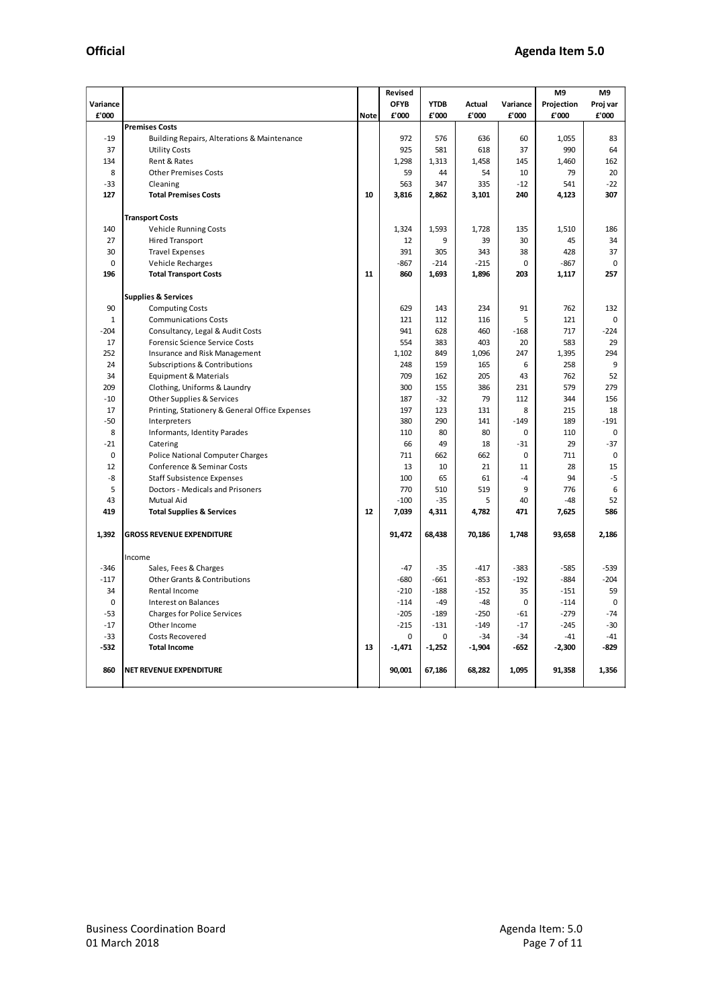|              |                                                |             | Revised     |             | M9       | M9          |            |             |
|--------------|------------------------------------------------|-------------|-------------|-------------|----------|-------------|------------|-------------|
|              |                                                |             | <b>OFYB</b> | <b>YTDB</b> |          |             |            |             |
| Variance     |                                                |             | £'000       |             | Actual   | Variance    | Projection | Proj var    |
| £'000        |                                                | <b>Note</b> |             | £'000       | £'000    | £'000       | £'000      | £'000       |
|              | <b>Premises Costs</b>                          |             |             |             |          |             |            |             |
| $-19$        | Building Repairs, Alterations & Maintenance    |             | 972         | 576         | 636      | 60          | 1,055      | 83          |
| 37           | <b>Utility Costs</b>                           |             | 925         | 581         | 618      | 37          | 990        | 64          |
| 134          | Rent & Rates                                   |             | 1,298       | 1,313       | 1,458    | 145         | 1,460      | 162         |
| 8            | <b>Other Premises Costs</b>                    |             | 59          | 44          | 54       | 10          | 79         | 20          |
| $-33$        | Cleaning                                       |             | 563         | 347         | 335      | $-12$       | 541        | $-22$       |
| 127          | <b>Total Premises Costs</b>                    | 10          | 3,816       | 2,862       | 3,101    | 240         | 4,123      | 307         |
|              |                                                |             |             |             |          |             |            |             |
|              | <b>Transport Costs</b>                         |             |             |             |          |             |            |             |
| 140          | <b>Vehicle Running Costs</b>                   |             | 1,324       | 1,593       | 1,728    | 135         | 1,510      | 186         |
| 27           | <b>Hired Transport</b>                         |             | 12          | 9           | 39       | 30          | 45         | 34          |
| 30           | <b>Travel Expenses</b>                         |             | 391         | 305         | 343      | 38          | 428        | 37          |
| $\pmb{0}$    | Vehicle Recharges                              |             | -867        | $-214$      | $-215$   | 0           | $-867$     | 0           |
| 196          | <b>Total Transport Costs</b>                   | 11          | 860         | 1,693       | 1,896    | 203         | 1,117      | 257         |
|              |                                                |             |             |             |          |             |            |             |
|              | <b>Supplies &amp; Services</b>                 |             |             |             |          |             |            |             |
| 90           | <b>Computing Costs</b>                         |             | 629         | 143         | 234      | 91          | 762        | 132         |
| $\mathbf{1}$ | <b>Communications Costs</b>                    |             | 121         | 112         | 116      | 5           | 121        | $\mathbf 0$ |
| -204         | Consultancy, Legal & Audit Costs               |             | 941         | 628         | 460      | $-168$      | 717        | $-224$      |
| 17           | <b>Forensic Science Service Costs</b>          |             | 554         | 383         | 403      | 20          | 583        | 29          |
| 252          |                                                |             | 1,102       | 849         | 1,096    | 247         | 1,395      | 294         |
|              | Insurance and Risk Management                  |             |             |             |          |             |            | 9           |
| 24           | <b>Subscriptions &amp; Contributions</b>       |             | 248         | 159         | 165      | 6           | 258        |             |
| 34           | Equipment & Materials                          |             | 709         | 162         | 205      | 43          | 762        | 52          |
| 209          | Clothing, Uniforms & Laundry                   |             | 300         | 155         | 386      | 231         | 579        | 279         |
| $-10$        | Other Supplies & Services                      |             | 187         | $-32$       | 79       | 112         | 344        | 156         |
| 17           | Printing, Stationery & General Office Expenses |             | 197         | 123         | 131      | 8           | 215        | 18          |
| $-50$        | Interpreters                                   |             | 380         | 290         | 141      | $-149$      | 189        | $-191$      |
| 8            | Informants, Identity Parades                   |             | 110         | 80          | 80       | $\mathbf 0$ | 110        | 0           |
| -21          | Catering                                       |             | 66          | 49          | 18       | $-31$       | 29         | $-37$       |
| 0            | <b>Police National Computer Charges</b>        |             | 711         | 662         | 662      | $\mathbf 0$ | 711        | 0           |
| 12           | Conference & Seminar Costs                     |             | 13          | 10          | 21       | 11          | 28         | 15          |
| -8           | <b>Staff Subsistence Expenses</b>              |             | 100         | 65          | 61       | $-4$        | 94         | $-5$        |
| 5            | Doctors - Medicals and Prisoners               |             | 770         | 510         | 519      | 9           | 776        | 6           |
| 43           | Mutual Aid                                     |             | $-100$      | $-35$       | 5        | 40          | $-48$      | 52          |
| 419          | <b>Total Supplies &amp; Services</b>           | 12          | 7,039       | 4,311       | 4,782    | 471         | 7,625      | 586         |
|              |                                                |             |             |             |          |             |            |             |
| 1,392        | <b>GROSS REVENUE EXPENDITURE</b>               |             | 91,472      | 68,438      | 70,186   | 1,748       | 93,658     | 2,186       |
|              |                                                |             |             |             |          |             |            |             |
|              | Income                                         |             |             |             |          |             |            |             |
| -346         | Sales, Fees & Charges                          |             | $-47$       | $-35$       | -417     | $-383$      | $-585$     | $-539$      |
| $-117$       | <b>Other Grants &amp; Contributions</b>        |             | $-680$      | $-661$      | $-853$   | $-192$      | $-884$     | $-204$      |
| 34           | Rental Income                                  |             | $-210$      | $-188$      | -152     | 35          | $-151$     | 59          |
| $\mathbf 0$  | Interest on Balances                           |             | $-114$      | $-49$       | -48      | $\mathbf 0$ | $-114$     | 0           |
| -53          | <b>Charges for Police Services</b>             |             | $-205$      | $-189$      | $-250$   | $-61$       | $-279$     | $-74$       |
| $-17$        | Other Income                                   |             | $-215$      | -131        | -149     | $-17$       | -245       | $-30$       |
| -33          | <b>Costs Recovered</b>                         |             | 0           | 0           | -34      | -34         | $-41$      | $-41$       |
|              |                                                |             |             |             |          |             |            |             |
| -532         | <b>Total Income</b>                            | 13          | $-1,471$    | $-1,252$    | $-1,904$ | -652        | $-2,300$   | -829        |
|              |                                                |             |             |             |          |             |            |             |
| 860          | <b>NET REVENUE EXPENDITURE</b>                 |             | 90,001      | 67,186      | 68,282   | 1,095       | 91,358     | 1,356       |
|              |                                                |             |             |             |          |             |            |             |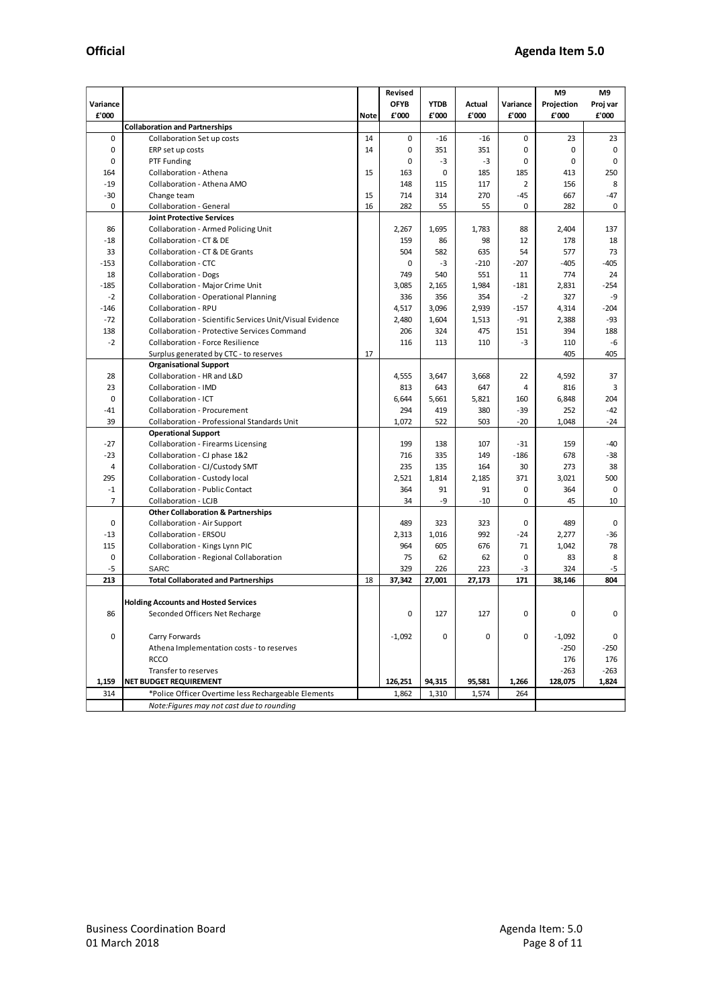|                |                                                          | Revised     |             |             |        |          |                     |                            |
|----------------|----------------------------------------------------------|-------------|-------------|-------------|--------|----------|---------------------|----------------------------|
| Variance       |                                                          |             | <b>OFYB</b> | <b>YTDB</b> | Actual | Variance | M9                  | M <sub>9</sub><br>Proj var |
| £'000          |                                                          | <b>Note</b> | £'000       | £'000       | £'000  | £'000    | Projection<br>£'000 | £'000                      |
|                | <b>Collaboration and Partnerships</b>                    |             |             |             |        |          |                     |                            |
| $\mathbf 0$    |                                                          | 14          | 0           |             |        | 0        |                     |                            |
|                | Collaboration Set up costs                               |             |             | $-16$       | $-16$  |          | 23                  | 23                         |
| $\mathbf 0$    | ERP set up costs                                         | 14          | 0           | 351         | 351    | 0        | 0                   | 0                          |
| 0              | PTF Funding                                              |             | 0           | $-3$        | $-3$   | 0        | 0                   | $\mathbf 0$                |
| 164            | Collaboration - Athena                                   | 15          | 163         | 0           | 185    | 185      | 413                 | 250                        |
| $-19$          | Collaboration - Athena AMO                               |             | 148         | 115         | 117    | 2        | 156                 | 8                          |
| $-30$          | Change team                                              | 15          | 714         | 314         | 270    | -45      | 667                 | $-47$                      |
| $\mathbf 0$    | Collaboration - General                                  | 16          | 282         | 55          | 55     | 0        | 282                 | 0                          |
|                | <b>Joint Protective Services</b>                         |             |             |             |        |          |                     |                            |
| 86             | <b>Collaboration - Armed Policing Unit</b>               |             | 2,267       | 1,695       | 1,783  | 88       | 2,404               | 137                        |
| $-18$          | Collaboration - CT & DE                                  |             | 159         | 86          | 98     | 12       | 178                 | 18                         |
| 33             | Collaboration - CT & DE Grants                           |             | 504         | 582         | 635    | 54       | 577                 | 73                         |
| $-153$         | Collaboration - CTC                                      |             | 0           | $-3$        | $-210$ | -207     | -405                | $-405$                     |
| 18             | <b>Collaboration - Dogs</b>                              |             | 749         | 540         | 551    | 11       | 774                 | 24                         |
| $-185$         | Collaboration - Major Crime Unit                         |             | 3,085       | 2,165       | 1,984  | $-181$   | 2,831               | $-254$                     |
| $-2$           | <b>Collaboration - Operational Planning</b>              |             | 336         | 356         | 354    | -2       | 327                 | -9                         |
| $-146$         | Collaboration - RPU                                      |             | 4,517       | 3,096       | 2,939  | $-157$   | 4,314               | $-204$                     |
| $-72$          | Collaboration - Scientific Services Unit/Visual Evidence |             | 2,480       | 1,604       | 1,513  | -91      | 2,388               | -93                        |
| 138            | <b>Collaboration - Protective Services Command</b>       |             | 206         | 324         | 475    | 151      | 394                 | 188                        |
| $-2$           | <b>Collaboration - Force Resilience</b>                  |             | 116         | 113         | 110    | -3       | 110                 | -6                         |
|                | Surplus generated by CTC - to reserves                   | 17          |             |             |        |          | 405                 | 405                        |
|                | <b>Organisational Support</b>                            |             |             |             |        |          |                     |                            |
| 28             | Collaboration - HR and L&D                               |             | 4,555       | 3,647       | 3,668  | 22       | 4,592               | 37                         |
| 23             | Collaboration - IMD                                      |             | 813         | 643         | 647    | 4        | 816                 | 3                          |
| $\mathbf 0$    | Collaboration - ICT                                      |             | 6,644       | 5,661       | 5,821  | 160      | 6,848               | 204                        |
| -41            | <b>Collaboration - Procurement</b>                       |             | 294         | 419         | 380    | -39      | 252                 | -42                        |
| 39             | Collaboration - Professional Standards Unit              |             | 1,072       | 522         | 503    | -20      | 1,048               | -24                        |
|                | <b>Operational Support</b>                               |             |             |             |        |          |                     |                            |
| $-27$          | Collaboration - Firearms Licensing                       |             | 199         | 138         | 107    | -31      | 159                 | $-40$                      |
| $-23$          | Collaboration - CJ phase 1&2                             |             | 716         | 335         | 149    | $-186$   | 678                 | -38                        |
| 4              | Collaboration - CJ/Custody SMT                           |             | 235         | 135         | 164    | 30       | 273                 | 38                         |
| 295            | Collaboration - Custody local                            |             | 2,521       | 1,814       | 2,185  | 371      | 3,021               | 500                        |
| $-1$           | <b>Collaboration - Public Contact</b>                    |             | 364         | 91          | 91     | 0        | 364                 | 0                          |
| $\overline{7}$ | Collaboration - LCJB                                     |             | 34          | -9          | $-10$  | 0        | 45                  | 10                         |
|                | <b>Other Collaboration &amp; Partnerships</b>            |             |             |             |        |          |                     |                            |
| 0              | Collaboration - Air Support                              |             | 489         | 323         | 323    | 0        | 489                 | 0                          |
| $-13$          | Collaboration - ERSOU                                    |             | 2,313       | 1,016       | 992    | -24      | 2,277               | $-36$                      |
| 115            | Collaboration - Kings Lynn PIC                           |             | 964         | 605         | 676    | 71       | 1,042               | 78                         |
| $\mathbf 0$    |                                                          |             | 75          | 62          | 62     | 0        | 83                  | 8                          |
| -5             | Collaboration - Regional Collaboration<br><b>SARC</b>    |             | 329         | 226         | 223    | -3       | 324                 | $-5$                       |
| 213            | <b>Total Collaborated and Partnerships</b>               | 18          | 37,342      | 27,001      | 27,173 | 171      | 38,146              | 804                        |
|                |                                                          |             |             |             |        |          |                     |                            |
|                | <b>Holding Accounts and Hosted Services</b>              |             |             |             |        |          |                     |                            |
| 86             |                                                          |             | 0           | 127         | 127    | 0        | 0                   | 0                          |
|                | Seconded Officers Net Recharge                           |             |             |             |        |          |                     |                            |
| $\mathbf 0$    | Carry Forwards                                           |             | $-1,092$    | $\mathbf 0$ | 0      | 0        | $-1,092$            | 0                          |
|                | Athena Implementation costs - to reserves                |             |             |             |        |          |                     | $-250$                     |
|                |                                                          |             |             |             |        |          | $-250$              |                            |
|                | <b>RCCO</b>                                              |             |             |             |        |          | 176                 | 176                        |
|                | Transfer to reserves                                     |             |             |             |        |          | $-263$              | $-263$                     |
| 1,159          | NET BUDGET REQUIREMENT                                   |             | 126,251     | 94,315      | 95,581 | 1,266    | 128,075             | 1,824                      |
| 314            | *Police Officer Overtime less Rechargeable Elements      |             | 1,862       | 1,310       | 1,574  | 264      |                     |                            |
|                | Note: Figures may not cast due to rounding               |             |             |             |        |          |                     |                            |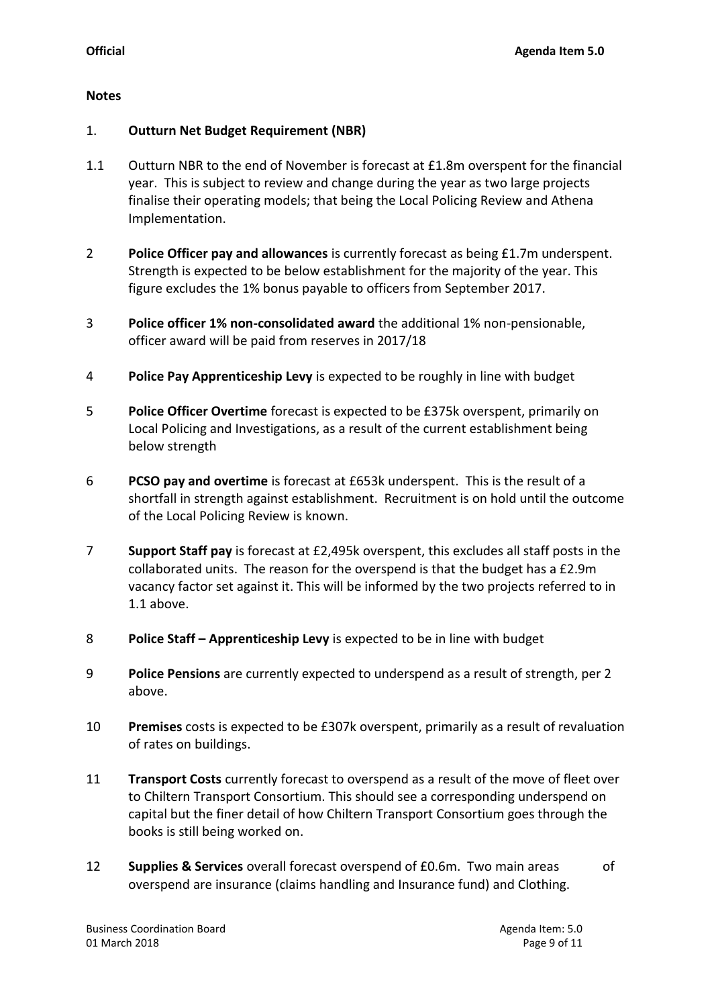### **Notes**

## 1. **Outturn Net Budget Requirement (NBR)**

- 1.1 Outturn NBR to the end of November is forecast at £1.8m overspent for the financial year. This is subject to review and change during the year as two large projects finalise their operating models; that being the Local Policing Review and Athena Implementation.
- 2 **Police Officer pay and allowances** is currently forecast as being £1.7m underspent. Strength is expected to be below establishment for the majority of the year. This figure excludes the 1% bonus payable to officers from September 2017.
- 3 **Police officer 1% non-consolidated award** the additional 1% non-pensionable, officer award will be paid from reserves in 2017/18
- 4 **Police Pay Apprenticeship Levy** is expected to be roughly in line with budget
- 5 **Police Officer Overtime** forecast is expected to be £375k overspent, primarily on Local Policing and Investigations, as a result of the current establishment being below strength
- 6 **PCSO pay and overtime** is forecast at £653k underspent. This is the result of a shortfall in strength against establishment. Recruitment is on hold until the outcome of the Local Policing Review is known.
- 7 **Support Staff pay** is forecast at £2,495k overspent, this excludes all staff posts in the collaborated units. The reason for the overspend is that the budget has a £2.9m vacancy factor set against it. This will be informed by the two projects referred to in 1.1 above.
- 8 **Police Staff – Apprenticeship Levy** is expected to be in line with budget
- 9 **Police Pensions** are currently expected to underspend as a result of strength, per 2 above.
- 10 **Premises** costs is expected to be £307k overspent, primarily as a result of revaluation of rates on buildings.
- 11 **Transport Costs** currently forecast to overspend as a result of the move of fleet over to Chiltern Transport Consortium. This should see a corresponding underspend on capital but the finer detail of how Chiltern Transport Consortium goes through the books is still being worked on.
- 12 **Supplies & Services** overall forecast overspend of £0.6m. Two main areas of overspend are insurance (claims handling and Insurance fund) and Clothing.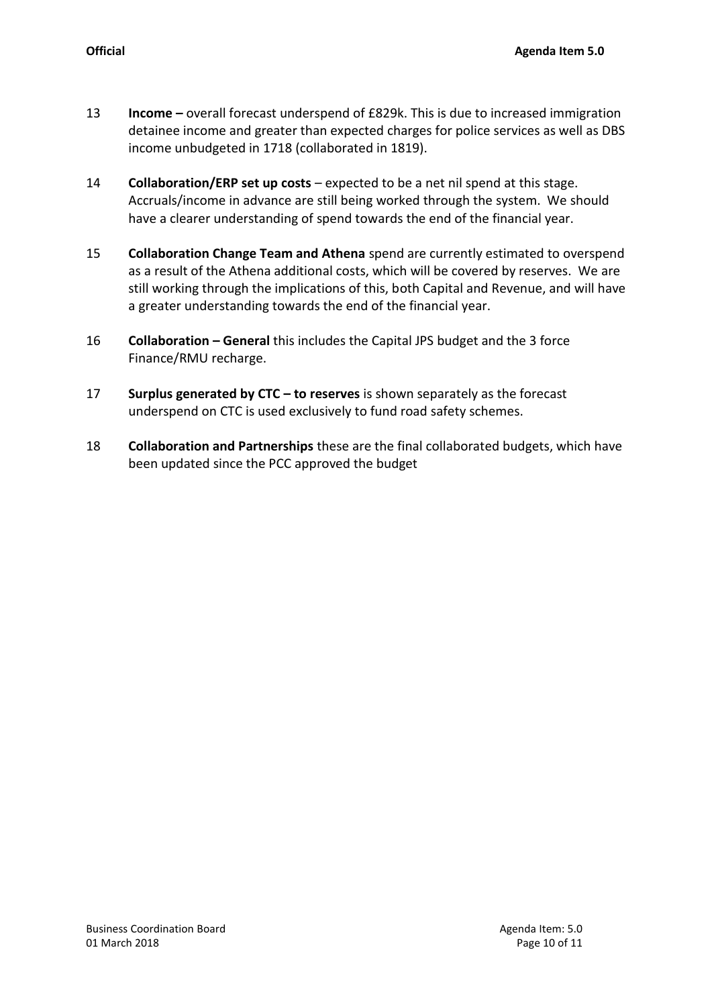- 13 **Income –** overall forecast underspend of £829k. This is due to increased immigration detainee income and greater than expected charges for police services as well as DBS income unbudgeted in 1718 (collaborated in 1819).
- 14 **Collaboration/ERP set up costs** expected to be a net nil spend at this stage. Accruals/income in advance are still being worked through the system. We should have a clearer understanding of spend towards the end of the financial year.
- 15 **Collaboration Change Team and Athena** spend are currently estimated to overspend as a result of the Athena additional costs, which will be covered by reserves. We are still working through the implications of this, both Capital and Revenue, and will have a greater understanding towards the end of the financial year.
- 16 **Collaboration – General** this includes the Capital JPS budget and the 3 force Finance/RMU recharge.
- 17 **Surplus generated by CTC – to reserves** is shown separately as the forecast underspend on CTC is used exclusively to fund road safety schemes.
- 18 **Collaboration and Partnerships** these are the final collaborated budgets, which have been updated since the PCC approved the budget